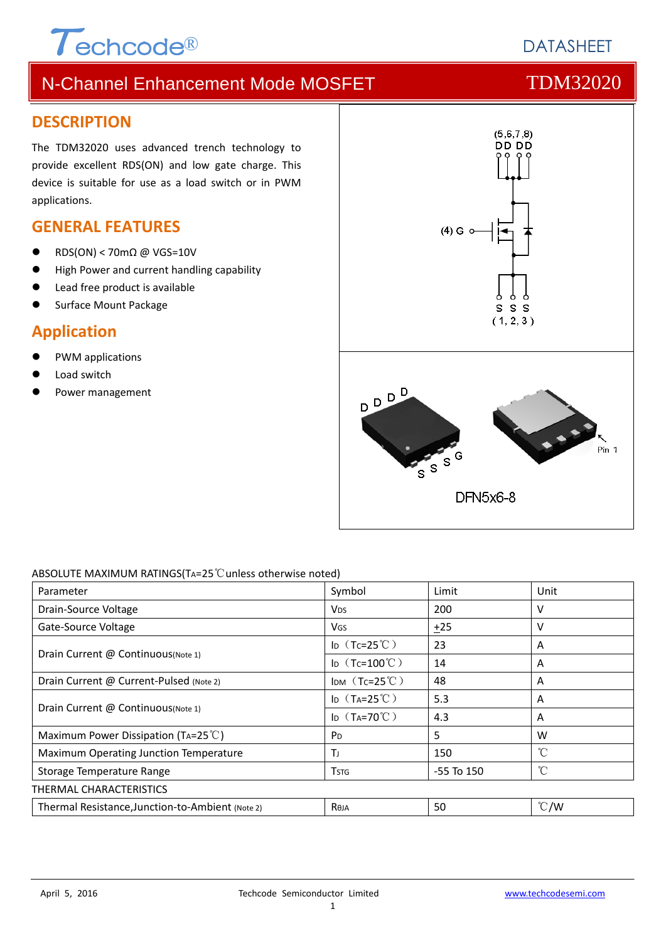# $\tau$ echcode®

# N-Channel Enhancement Mode MOSFET TOM32020

### **DESCRIPTION**

The TDM32020 uses advanced trench technology to provide excellent RDS(ON) and low gate charge. This device is suitable for use as a load switch or in PWM applications.

### **GENERAL FEATURES**

- RDS(ON) < 70mΩ @ VGS=10V
- High Power and current handling capability
- Lead free product is available
- Surface Mount Package

# **Application**

- PWM applications
- Load switch
- Power management



#### ABSOLUTE MAXIMUM RATINGS(TA=25℃unless otherwise noted)

| Parameter                                        | Symbol                 | Limit          | Unit          |
|--------------------------------------------------|------------------------|----------------|---------------|
| Drain-Source Voltage                             | <b>V<sub>DS</sub></b>  | 200            | v             |
| Gate-Source Voltage                              | VGS                    | ±25            | v             |
| Drain Current @ Continuous(Note 1)               | ID $(Tc=25^{\circ}C)$  | 23             | A             |
|                                                  | ID $(Tc=100^{\circ}C)$ | 14             | A             |
| Drain Current @ Current-Pulsed (Note 2)          | IDM $(Tc=25^{\circ}C)$ | 48             | A             |
| Drain Current @ Continuous (Note 1)              | ID $(T_A=25^{\circ}C)$ | 5.3            | A             |
|                                                  | ID $(T_A=70^{\circ}C)$ | 4.3            | A             |
| Maximum Power Dissipation (TA=25 $^{\circ}$ C)   | <b>P</b> <sub>D</sub>  | 5              | W             |
| Maximum Operating Junction Temperature           | Τı                     | 150            | °C            |
| Storage Temperature Range                        | <b>T</b> stg           | $-55$ To $150$ | $^{\circ}$ C  |
| <b>THERMAL CHARACTERISTICS</b>                   |                        |                |               |
| Thermal Resistance, Junction-to-Ambient (Note 2) | <b>Reja</b>            | 50             | $\degree$ C/W |

**DATASHEFT**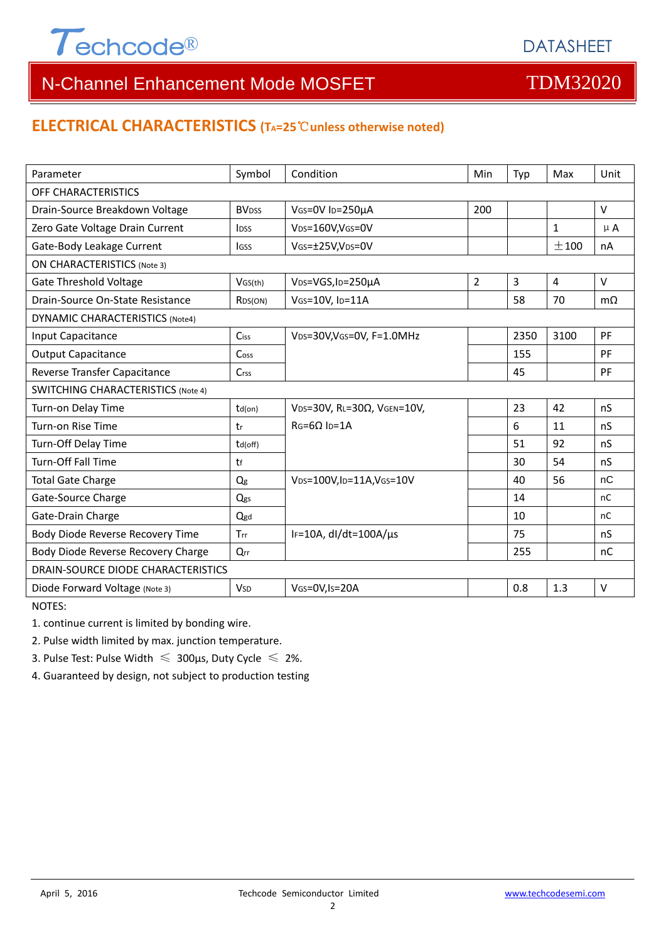

# N-Channel Enhancement Mode MOSFET TOM32020

#### **ELECTRICAL CHARACTERISTICS (TA=25**℃**unless otherwise noted)**

| Parameter                                 | Symbol                  | Condition                                   | <b>Min</b>     | Typ            | Max            | Unit      |  |  |
|-------------------------------------------|-------------------------|---------------------------------------------|----------------|----------------|----------------|-----------|--|--|
| OFF CHARACTERISTICS                       |                         |                                             |                |                |                |           |  |  |
| Drain-Source Breakdown Voltage            | <b>BV<sub>DSS</sub></b> | VGS=0V ID=250µA                             | 200            |                |                | $\vee$    |  |  |
| Zero Gate Voltage Drain Current           | <b>l</b> <sub>pss</sub> | V <sub>DS</sub> =160V,V <sub>GS</sub> =0V   |                |                | $\mathbf{1}$   | $\mu$ A   |  |  |
| Gate-Body Leakage Current                 | lgss                    | VGS=±25V,VDS=0V                             |                |                | $+100$         | nA        |  |  |
| <b>ON CHARACTERISTICS (Note 3)</b>        |                         |                                             |                |                |                |           |  |  |
| <b>Gate Threshold Voltage</b>             | VGS(th)                 | V <sub>DS</sub> =VGS, I <sub>D</sub> =250µA | $\overline{2}$ | $\overline{3}$ | $\overline{4}$ | $\vee$    |  |  |
| Drain-Source On-State Resistance          | R <sub>DS</sub> (ON)    | VGS=10V, ID=11A                             |                | 58             | 70             | $m\Omega$ |  |  |
| <b>DYNAMIC CHARACTERISTICS (Note4)</b>    |                         |                                             |                |                |                |           |  |  |
| Input Capacitance                         | Ciss                    | VDS=30V, VGS=0V, F=1.0MHz                   |                | 2350           | 3100           | PF        |  |  |
| <b>Output Capacitance</b>                 | Coss                    |                                             |                | 155            |                | PF        |  |  |
| Reverse Transfer Capacitance              | Crss                    |                                             |                | 45             |                | PF        |  |  |
| <b>SWITCHING CHARACTERISTICS (Note 4)</b> |                         |                                             |                |                |                |           |  |  |
| Turn-on Delay Time                        | $td($ on $)$            | $V$ DS=30V, RL=30 $\Omega$ , VGEN=10V,      |                | 23             | 42             | nS        |  |  |
| Turn-on Rise Time                         | tr                      | $RG=6Q$ $ID=1A$                             |                | 6              | 11             | nS        |  |  |
| Turn-Off Delay Time                       | td(off)                 |                                             |                | 51             | 92             | nS        |  |  |
| <b>Turn-Off Fall Time</b>                 | tf                      |                                             |                | 30             | 54             | nS        |  |  |
| <b>Total Gate Charge</b>                  | Q <sub>g</sub>          | VDS=100V,ID=11A,VGS=10V                     |                | 40             | 56             | nC        |  |  |
| Gate-Source Charge                        | Qgs                     |                                             |                | 14             |                | nC        |  |  |
| Gate-Drain Charge                         | Qgd                     |                                             |                | 10             |                | nC        |  |  |
| Body Diode Reverse Recovery Time          | Trr                     | IF=10A, $dl/dt=100A/\mu s$                  |                | 75             |                | nS        |  |  |
| Body Diode Reverse Recovery Charge        | Qrr                     |                                             |                | 255            |                | nC        |  |  |
| DRAIN-SOURCE DIODE CHARACTERISTICS        |                         |                                             |                |                |                |           |  |  |
| Diode Forward Voltage (Note 3)            | <b>V<sub>SD</sub></b>   | VGS=0V, Is=20A                              |                | 0.8            | 1.3            | $\vee$    |  |  |

NOTES:

1. continue current is limited by bonding wire.

2. Pulse width limited by max. junction temperature.

3. Pulse Test: Pulse Width  $\leq 300$ μs, Duty Cycle  $\leq 2\%$ .

4. Guaranteed by design, not subject to production testing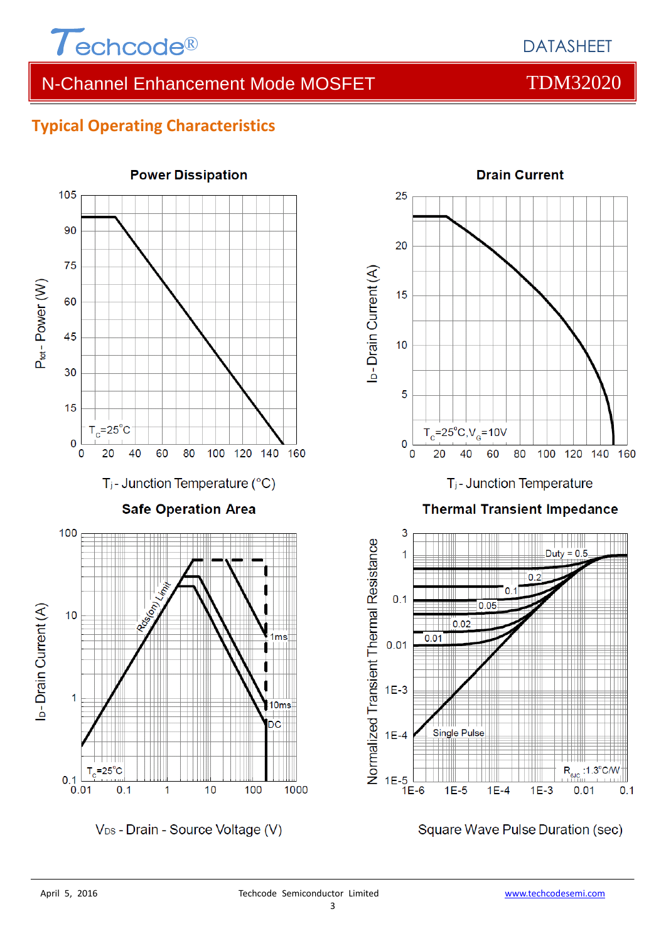

# N-Channel Enhancement Mode MOSFET TOM32020

### **Typical Operating Characteristics**

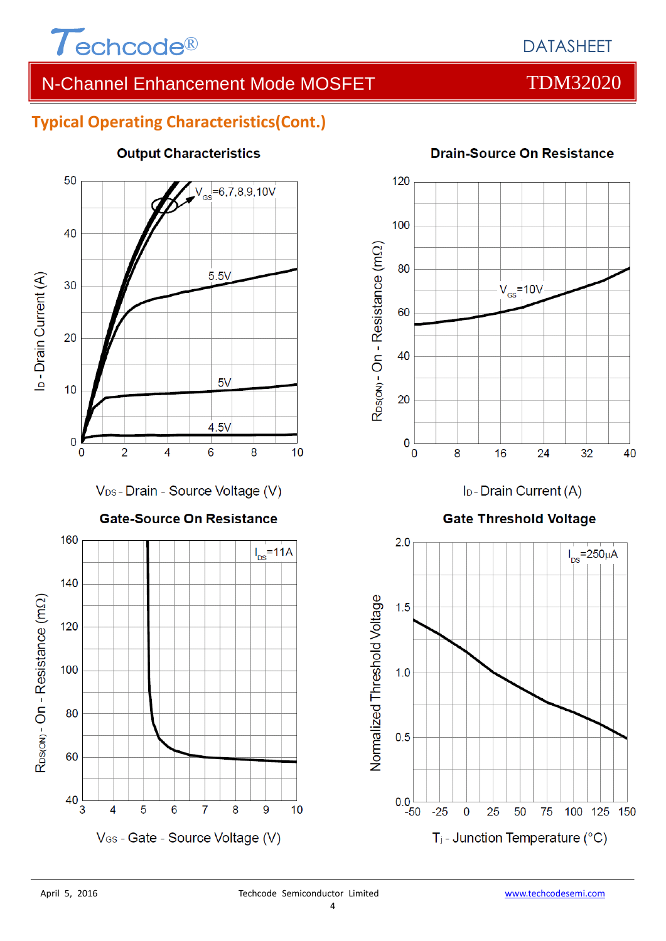

### DATASHEET

# N-Channel Enhancement Mode MOSFET TOM32020

#### **Typical Operating Characteristics(Cont.)**



#### **Output Characteristics**

### 120 100 R<sub>DS(ON)</sub> - On - Resistance (mΩ) 80  $V_{cs}$ =10V 60 40 20 0  $\overline{0}$ 8 16 24 32 40

I<sub>D</sub>-Drain Current (A)

#### **Gate Threshold Voltage**



#### **Drain-Source On Resistance**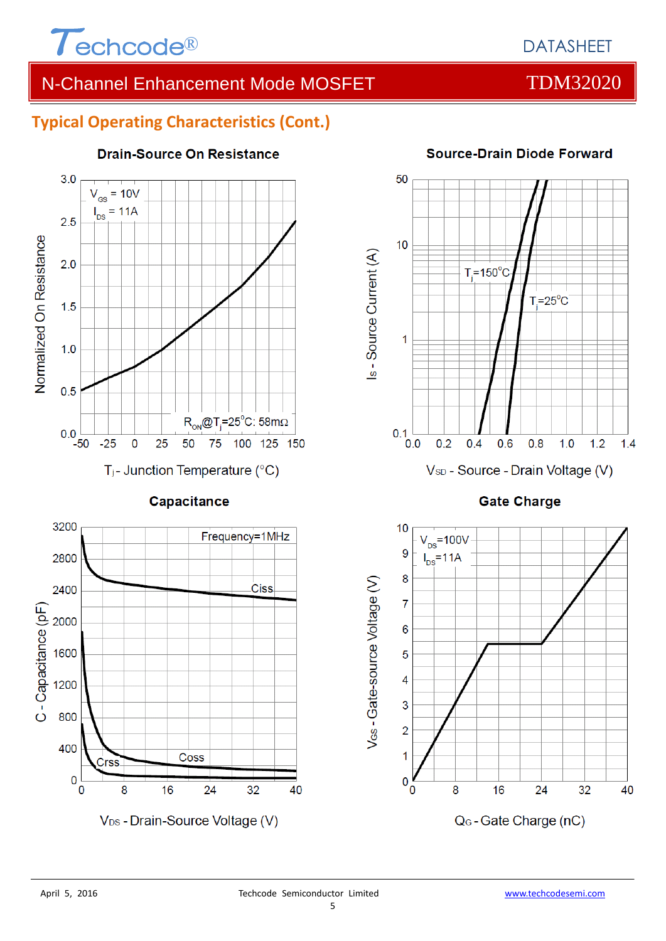

# N-Channel Enhancement Mode MOSFET TOM32020

### **Typical Operating Characteristics (Cont.)**



#### Capacitance



### 50  $10$ Is - Source Current (A)  $T = 150^{\circ}$ C  $T = 25^{\circ}C$ 1  $0.1$  $0.0$  $0.2$  $0.4$  $0.6$  $0.8$  $1.0$  $1.2$  $1.4$ V<sub>SD</sub> - Source - Drain Voltage (V)

#### **Source-Drain Diode Forward**



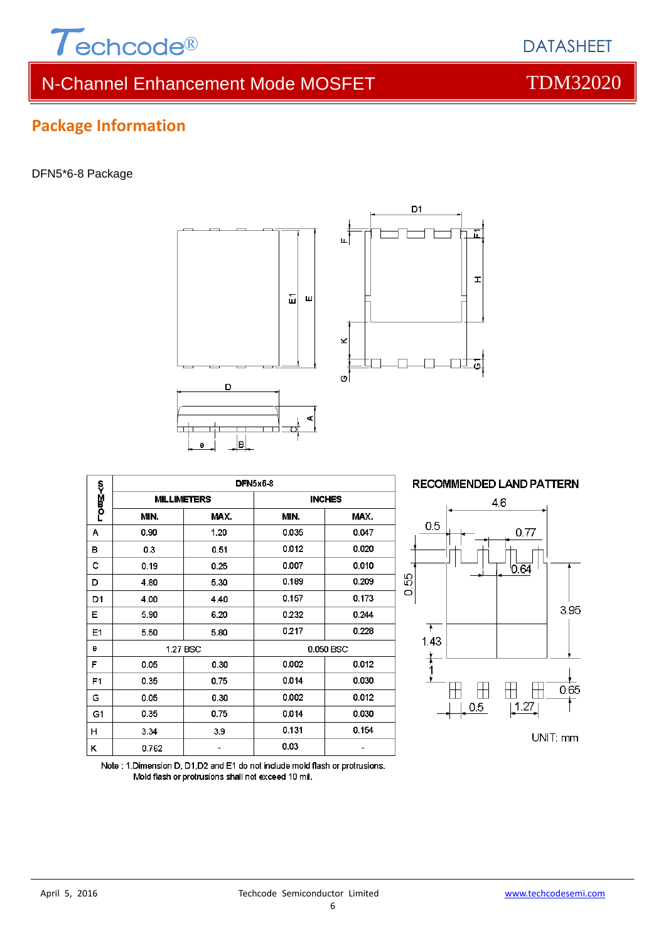

**Package Information**

гоড⊆≺и

 $\overline{A}$ 

B

 $\mathbf{c}$ 

# N-Channel Enhancement Mode MOSFET TOM32020

ļв **DFN5x6-8 MILLIMETERS INCHES** MIN. MAX. MIN. MAX.  $1.20$ 0.90 0.035  $0.047$  $0.3$ 0.51 0.012  $0.020$  $0.19$  $0.25$ 0.007 0.010  $0.189$  $0.209$ 4.80 5.30 0.157 4.00 4.40 6.20 0.232 5.90 0.217 5.50 5.80



Note: 1. Dimension D, D1, D2 and E1 do not include mold flash or protrusions.

Mold flash or protrusions shall not exceed 10 mil.



# DFN5\*6-8 Package





**DATASHEET**